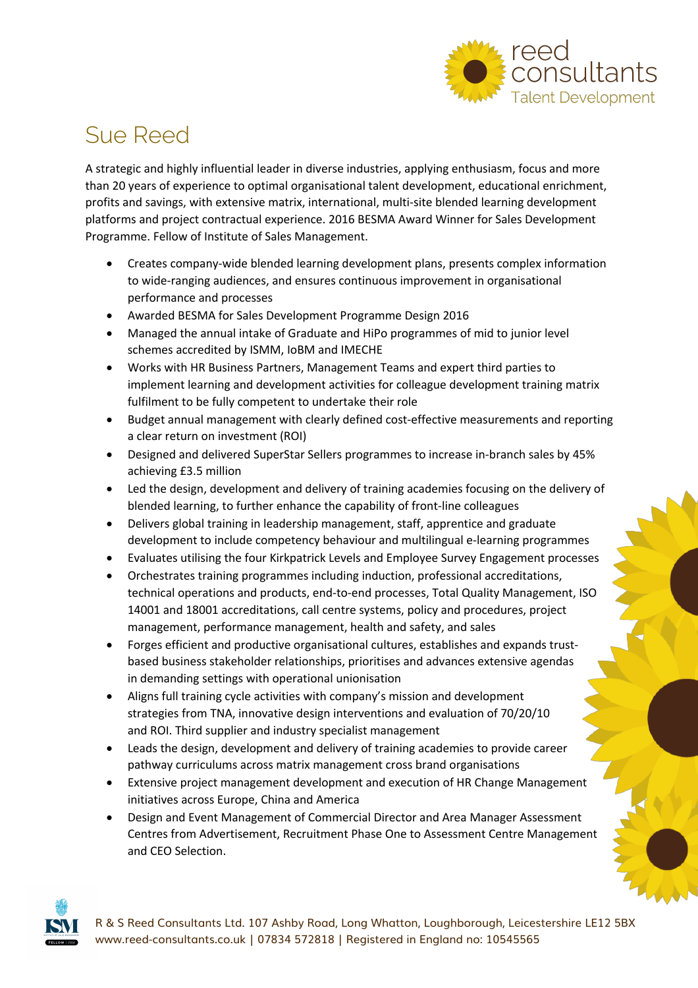

### Sue Reed

A strategic and highly influential leader in diverse industries, applying enthusiasm, focus and more than 20 years of experience to optimal organisational talent development, educational enrichment, profits and savings, with extensive matrix, international, multi-site blended learning development platforms and project contractual experience. 2016 BESMA Award Winner for Sales Development Programme. Fellow of Institute of Sales Management.

- Creates company-wide blended learning development plans, presents complex information to wide-ranging audiences, and ensures continuous improvement in organisational performance and processes
- Awarded BESMA for Sales Development Programme Design 2016
- Managed the annual intake of Graduate and HiPo programmes of mid to junior level schemes accredited by ISMM, IoBM and IMECHE
- Works with HR Business Partners, Management Teams and expert third parties to implement learning and development activities for colleague development training matrix fulfilment to be fully competent to undertake their role
- Budget annual management with clearly defined cost-effective measurements and reporting a clear return on investment (ROI)
- Designed and delivered SuperStar Sellers programmes to increase in-branch sales by 45% achieving £3.5 million
- Led the design, development and delivery of training academies focusing on the delivery of blended learning, to further enhance the capability of front-line colleagues
- Delivers global training in leadership management, staff, apprentice and graduate development to include competency behaviour and multilingual e-learning programmes
- Evaluates utilising the four Kirkpatrick Levels and Employee Survey Engagement processes
- Orchestrates training programmes including induction, professional accreditations, technical operations and products, end-to-end processes, Total Quality Management, ISO 14001 and 18001 accreditations, call centre systems, policy and procedures, project management, performance management, health and safety, and sales
- Forges efficient and productive organisational cultures, establishes and expands trustbased business stakeholder relationships, prioritises and advances extensive agendas in demanding settings with operational unionisation
- Aligns full training cycle activities with company's mission and development strategies from TNA, innovative design interventions and evaluation of 70/20/10 and ROI. Third supplier and industry specialist management
- Leads the design, development and delivery of training academies to provide career pathway curriculums across matrix management cross brand organisations
- Extensive project management development and execution of HR Change Management initiatives across Europe, China and America
- Design and Event Management of Commercial Director and Area Manager Assessment Centres from Advertisement, Recruitment Phase One to Assessment Centre Management and CEO Selection.



R & S Reed Consultants Ltd. 107 Ashby Road, Long Whatton, Loughborough, Leicestershire LE12 5BX www.reed-consultants.co.uk | 07834 572818 | Registered in England no: 10545565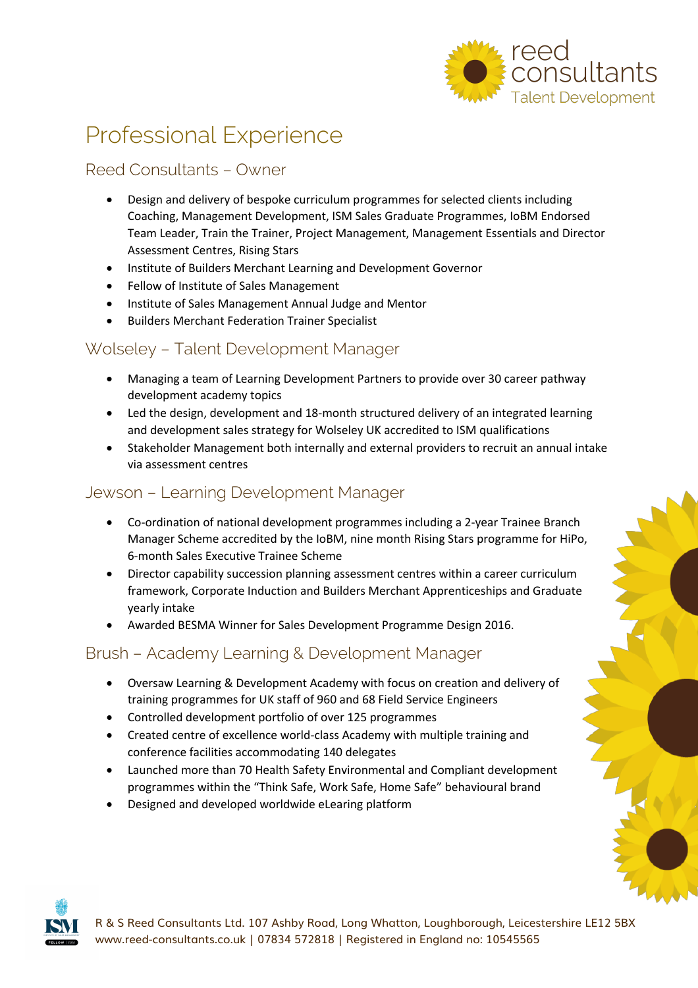

# Professional Experience

#### Reed Consultants – Owner

- Design and delivery of bespoke curriculum programmes for selected clients including Coaching, Management Development, ISM Sales Graduate Programmes, IoBM Endorsed Team Leader, Train the Trainer, Project Management, Management Essentials and Director Assessment Centres, Rising Stars
- Institute of Builders Merchant Learning and Development Governor
- Fellow of Institute of Sales Management
- Institute of Sales Management Annual Judge and Mentor
- Builders Merchant Federation Trainer Specialist

#### Wolseley – Talent Development Manager

- Managing a team of Learning Development Partners to provide over 30 career pathway development academy topics
- Led the design, development and 18-month structured delivery of an integrated learning and development sales strategy for Wolseley UK accredited to ISM qualifications
- Stakeholder Management both internally and external providers to recruit an annual intake via assessment centres

#### Jewson – Learning Development Manager

- Co-ordination of national development programmes including a 2-year Trainee Branch Manager Scheme accredited by the IoBM, nine month Rising Stars programme for HiPo, 6-month Sales Executive Trainee Scheme
- Director capability succession planning assessment centres within a career curriculum framework, Corporate Induction and Builders Merchant Apprenticeships and Graduate yearly intake
- Awarded BESMA Winner for Sales Development Programme Design 2016.

#### Brush – Academy Learning & Development Manager

- Oversaw Learning & Development Academy with focus on creation and delivery of training programmes for UK staff of 960 and 68 Field Service Engineers
- Controlled development portfolio of over 125 programmes
- Created centre of excellence world-class Academy with multiple training and conference facilities accommodating 140 delegates
- Launched more than 70 Health Safety Environmental and Compliant development programmes within the "Think Safe, Work Safe, Home Safe" behavioural brand
- Designed and developed worldwide eLearing platform